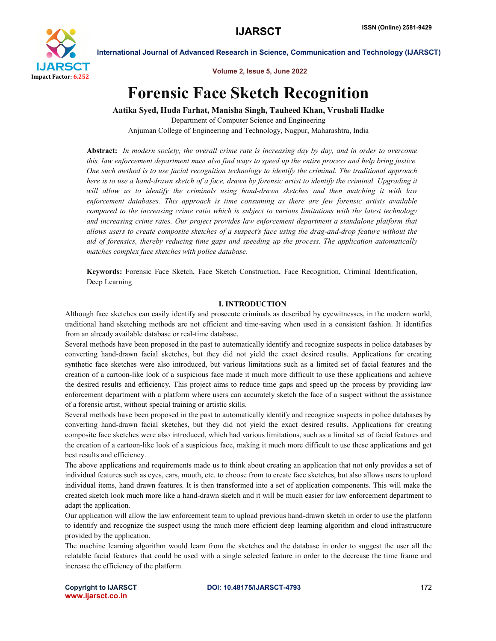

Volume 2, Issue 5, June 2022

# Forensic Face Sketch Recognition

Aatika Syed, Huda Farhat, Manisha Singh, Tauheed Khan, Vrushali Hadke Department of Computer Science and Engineering

Anjuman College of Engineering and Technology, Nagpur, Maharashtra, India

Abstract: *In modern society, the overall crime rate is increasing day by day, and in order to overcome this, law enforcement department must also find ways to speed up the entire process and help bring justice. One such method is to use facial recognition technology to identify the criminal. The traditional approach here is to use a hand-drawn sketch of a face, drawn by forensic artist to identify the criminal. Upgrading it will allow us to identify the criminals using hand-drawn sketches and then matching it with law enforcement databases. This approach is time consuming as there are few forensic artists available compared to the increasing crime ratio which is subject to various limitations with the latest technology and increasing crime rates. Our project provides law enforcement department a standalone platform that allows users to create composite sketches of a suspect's face using the drag-and-drop feature without the aid of forensics, thereby reducing time gaps and speeding up the process. The application automatically matches complex face sketches with police database.*

Keywords: Forensic Face Sketch, Face Sketch Construction, Face Recognition, Criminal Identification, Deep Learning

### I. INTRODUCTION

Although face sketches can easily identify and prosecute criminals as described by eyewitnesses, in the modern world, traditional hand sketching methods are not efficient and time-saving when used in a consistent fashion. It identifies from an already available database or real-time database.

Several methods have been proposed in the past to automatically identify and recognize suspects in police databases by converting hand-drawn facial sketches, but they did not yield the exact desired results. Applications for creating synthetic face sketches were also introduced, but various limitations such as a limited set of facial features and the creation of a cartoon-like look of a suspicious face made it much more difficult to use these applications and achieve the desired results and efficiency. This project aims to reduce time gaps and speed up the process by providing law enforcement department with a platform where users can accurately sketch the face of a suspect without the assistance of a forensic artist, without special training or artistic skills.

Several methods have been proposed in the past to automatically identify and recognize suspects in police databases by converting hand-drawn facial sketches, but they did not yield the exact desired results. Applications for creating composite face sketches were also introduced, which had various limitations, such as a limited set of facial features and the creation of a cartoon-like look of a suspicious face, making it much more difficult to use these applications and get best results and efficiency.

The above applications and requirements made us to think about creating an application that not only provides a set of individual features such as eyes, ears, mouth, etc. to choose from to create face sketches, but also allows users to upload individual items, hand drawn features. It is then transformed into a set of application components. This will make the created sketch look much more like a hand-drawn sketch and it will be much easier for law enforcement department to adapt the application.

Our application will allow the law enforcement team to upload previous hand-drawn sketch in order to use the platform to identify and recognize the suspect using the much more efficient deep learning algorithm and cloud infrastructure provided by the application.

The machine learning algorithm would learn from the sketches and the database in order to suggest the user all the relatable facial features that could be used with a single selected feature in order to the decrease the time frame and increase the efficiency of the platform.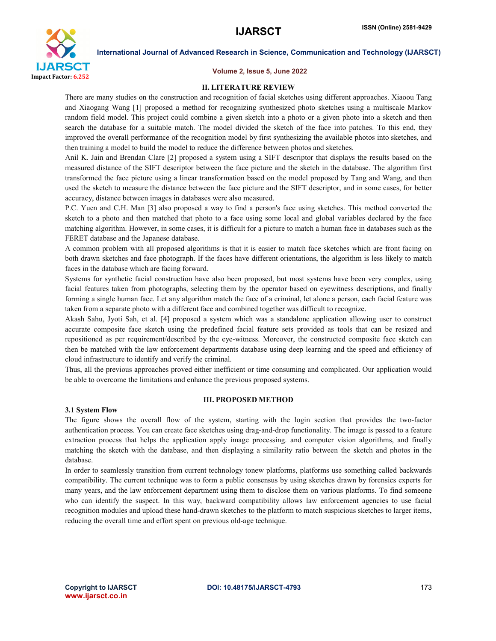

#### Volume 2, Issue 5, June 2022

#### II. LITERATURE REVIEW

There are many studies on the construction and recognition of facial sketches using different approaches. Xiaoou Tang and Xiaogang Wang [1] proposed a method for recognizing synthesized photo sketches using a multiscale Markov random field model. This project could combine a given sketch into a photo or a given photo into a sketch and then search the database for a suitable match. The model divided the sketch of the face into patches. To this end, they improved the overall performance of the recognition model by first synthesizing the available photos into sketches, and then training a model to build the model to reduce the difference between photos and sketches.

Anil K. Jain and Brendan Clare [2] proposed a system using a SIFT descriptor that displays the results based on the measured distance of the SIFT descriptor between the face picture and the sketch in the database. The algorithm first transformed the face picture using a linear transformation based on the model proposed by Tang and Wang, and then used the sketch to measure the distance between the face picture and the SIFT descriptor, and in some cases, for better accuracy, distance between images in databases were also measured.

P.C. Yuen and C.H. Man [3] also proposed a way to find a person's face using sketches. This method converted the sketch to a photo and then matched that photo to a face using some local and global variables declared by the face matching algorithm. However, in some cases, it is difficult for a picture to match a human face in databases such as the FERET database and the Japanese database.

A common problem with all proposed algorithms is that it is easier to match face sketches which are front facing on both drawn sketches and face photograph. If the faces have different orientations, the algorithm is less likely to match faces in the database which are facing forward.

Systems for synthetic facial construction have also been proposed, but most systems have been very complex, using facial features taken from photographs, selecting them by the operator based on eyewitness descriptions, and finally forming a single human face. Let any algorithm match the face of a criminal, let alone a person, each facial feature was taken from a separate photo with a different face and combined together was difficult to recognize.

Akash Sahu, Jyoti Sah, et al. [4] proposed a system which was a standalone application allowing user to construct accurate composite face sketch using the predefined facial feature sets provided as tools that can be resized and repositioned as per requirement/described by the eye-witness. Moreover, the constructed composite face sketch can then be matched with the law enforcement departments database using deep learning and the speed and efficiency of cloud infrastructure to identify and verify the criminal.

Thus, all the previous approaches proved either inefficient or time consuming and complicated. Our application would be able to overcome the limitations and enhance the previous proposed systems.

#### III. PROPOSED METHOD

#### 3.1 System Flow

The figure shows the overall flow of the system, starting with the login section that provides the two-factor authentication process. You can create face sketches using drag-and-drop functionality. The image is passed to a feature extraction process that helps the application apply image processing. and computer vision algorithms, and finally matching the sketch with the database, and then displaying a similarity ratio between the sketch and photos in the database.

In order to seamlessly transition from current technology tonew platforms, platforms use something called backwards compatibility. The current technique was to form a public consensus by using sketches drawn by forensics experts for many years, and the law enforcement department using them to disclose them on various platforms. To find someone who can identify the suspect. In this way, backward compatibility allows law enforcement agencies to use facial recognition modules and upload these hand-drawn sketches to the platform to match suspicious sketches to larger items, reducing the overall time and effort spent on previous old-age technique.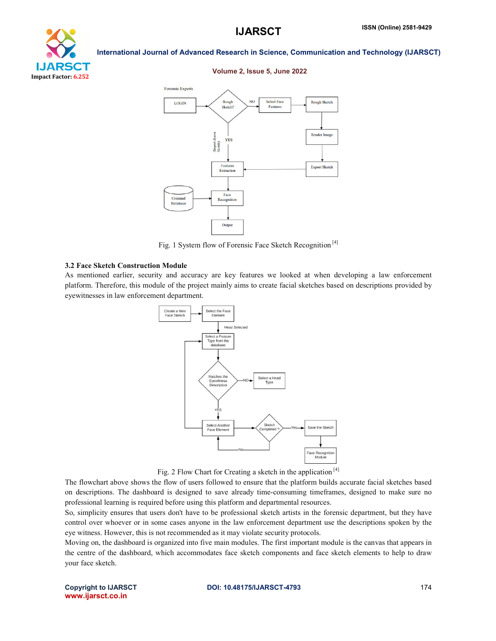



#### Volume 2, Issue 5, June 2022



Fig. 1 System flow of Forensic Face Sketch Recognition<sup>[4]</sup>

#### 3.2 Face Sketch Construction Module

As mentioned earlier, security and accuracy are key features we looked at when developing a law enforcement As mentioned earlier, security and accuracy are key features we looked at when developing a law enforcement platform. Therefore, this module of the project mainly aims to create facial sketches based on descriptions provid eyewitnesses in law enforcement department.



Fig. 2 Flow Chart for Creating a sketch in the application<sup>[4]</sup>

The flowchart above shows the flow of users followed to ensure that the platform builds accurate facial sketches based on descriptions. The dashboard is designed to save already time-consuming timeframes, designed to make sure no professional learning is required before using this platform and departmental resources.

So, simplicity ensures that users don't have to be professional sketch artists in the forensic department, but they have control over whoever or in some cases anyone in the law enforcement department use the descriptions spoken by the eye witness. However, this is not recommended as it may violate security protocols.

Moving on, the dashboard is organized into five main modules. The first important module is the canvas that appears in<br>the centre of the dashboard, which accommodates face sketch components and face sketch elements to help the centre of the dashboard, which accommodates face sketch components and face sketch elements to help to draw your face sketch.

Copyright to IJARSCT www.ijarsct.co.in

#### DOI: 10.48175/IJARSCT-4793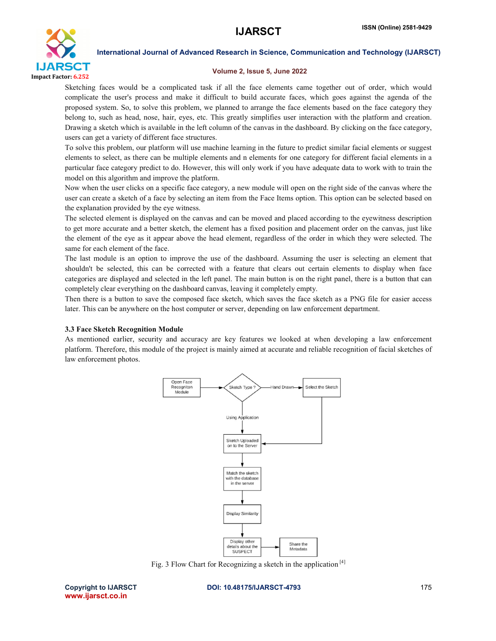## **IJARSCT**



International Journal of Advanced Research in Science, Communication and Technology (IJARSCT)

#### Volume 2, Issue 5, June 2022

Sketching faces would be a complicated task if all the face elements came together out of order, which would complicate the user's process and make it difficult to build accurate faces, which goes against the agenda of the proposed system. So, to solve this problem, we planned to arrange the face elements based on the face category they belong to, such as head, nose, hair, eyes, etc. This greatly simplifies user interaction with the platform and creation. Drawing a sketch which is available in the left column of the canvas in the dashboard. By clicking on users can get a variety of different face structures. and make it difficult to build accurate faces, which goes against the agenda of the his problem, we planned to arrange the face elements based on the face category they hair, eyes, etc. This greatly simplifies user interac

To solve this problem, our platform will use machine learning in the future to predict similar facial elements or suggest elements to select, as there can be multiple elements and n elements for one category for different facial elements in a elements to select, as there can be multiple elements and n elements for one category for different facial elements in a<br>particular face category predict to do. However, this will only work if you have adequate data to wor model on this algorithm and improve the platform.

Now when the user clicks on a specific face category, a new module will open on the right side of the canvas where the user can create a sketch of a face by selecting an item from the Face Items option. This option can be selected based on the explanation provided by the eye witness. articular face category predict to do. However, this will only work if you have adequate data to work with to train the odel on this algorithm and improve the platform.<br>
ow when the user clicks on a specific face category, when the user clicks on a specific face category, a new module will open on the right side of the canvas where the<br>can create a sketch of a face by selecting an item from the Face Items option. This option can be selected

The selected element is displayed on the canvas and can be moved and placed according to the eyewitness description to get more accurate and a better sketch, the element has a fixed position and placement order on the canvas, just like the element of the eye as it appear above the head element, regardless of the order in which they were selected. The same for each element of the face. the element of the eye as it appear above the head element, regardless of the order in which they were selected. The<br>same for each element of the face.<br>The last module is an option to improve the use of the dashboard. Assu

shouldn't be selected, this can be corrected with a feature that clears out certain elements to display when face categories are displayed and selected in the left panel. The main button is on the right panel, there is a button that can completely clear everything on the dashboard canvas, leaving it completely empty.

Then there is a button to save the composed face sketch, which saves the face sketch as a PNG file for easier access later. This can be anywhere on the host computer or server, depending on law enforcement department. button is on the right panel, there is a button<br>letely clear everything on the dashboard canvas, leaving it completely empty.<br>there is a button to save the composed face sketch, which saves the face sketch as a PNG file fo is a button to save the composed face sketch, which saves the face sketch as a PNG file for easier access<br>an be anywhere on the host computer or server, depending on law enforcement department.<br>tetch Recognition Module<br>ned

#### 3.3 Face Sketch Recognition Module

As mentioned earlier, security and accuracy are key features we looked at when developing a law enforcement platform. Therefore, this module of the project is mainly aimed at accurate and reliable recognition of facial sketches of law enforcement photos.



Fig. 3 Flow Chart for Recognizing a sketch in the application<sup>[4]</sup>

Copyright to IJARSCT www.ijarsct.co.in

DOI: 10.48175/IJARSCT-4793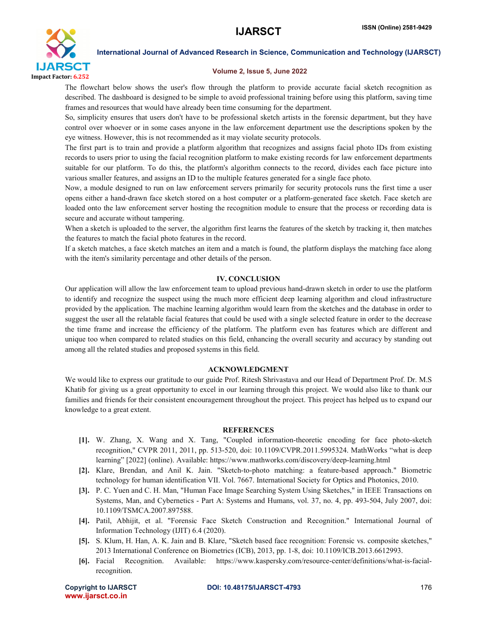

#### Volume 2, Issue 5, June 2022

The flowchart below shows the user's flow through the platform to provide accurate facial sketch recognition as described. The dashboard is designed to be simple to avoid professional training before using this platform, saving time frames and resources that would have already been time consuming for the department.

So, simplicity ensures that users don't have to be professional sketch artists in the forensic department, but they have control over whoever or in some cases anyone in the law enforcement department use the descriptions spoken by the eye witness. However, this is not recommended as it may violate security protocols.

The first part is to train and provide a platform algorithm that recognizes and assigns facial photo IDs from existing records to users prior to using the facial recognition platform to make existing records for law enforcement departments suitable for our platform. To do this, the platform's algorithm connects to the record, divides each face picture into various smaller features, and assigns an ID to the multiple features generated for a single face photo.

Now, a module designed to run on law enforcement servers primarily for security protocols runs the first time a user opens either a hand-drawn face sketch stored on a host computer or a platform-generated face sketch. Face sketch are loaded onto the law enforcement server hosting the recognition module to ensure that the process or recording data is secure and accurate without tampering.

When a sketch is uploaded to the server, the algorithm first learns the features of the sketch by tracking it, then matches the features to match the facial photo features in the record.

If a sketch matches, a face sketch matches an item and a match is found, the platform displays the matching face along with the item's similarity percentage and other details of the person.

#### IV. CONCLUSION

Our application will allow the law enforcement team to upload previous hand-drawn sketch in order to use the platform to identify and recognize the suspect using the much more efficient deep learning algorithm and cloud infrastructure provided by the application. The machine learning algorithm would learn from the sketches and the database in order to suggest the user all the relatable facial features that could be used with a single selected feature in order to the decrease the time frame and increase the efficiency of the platform. The platform even has features which are different and unique too when compared to related studies on this field, enhancing the overall security and accuracy by standing out among all the related studies and proposed systems in this field.

#### ACKNOWLEDGMENT

We would like to express our gratitude to our guide Prof. Ritesh Shrivastava and our Head of Department Prof. Dr. M.S Khatib for giving us a great opportunity to excel in our learning through this project. We would also like to thank our families and friends for their consistent encouragement throughout the project. This project has helped us to expand our knowledge to a great extent.

#### **REFERENCES**

- [1]. W. Zhang, X. Wang and X. Tang, "Coupled information-theoretic encoding for face photo-sketch recognition," CVPR 2011, 2011, pp. 513-520, doi: 10.1109/CVPR.2011.5995324. MathWorks "what is deep learning" [2022] (online). Available: https://www.mathworks.com/discovery/deep-learning.html
- [2]. Klare, Brendan, and Anil K. Jain. "Sketch-to-photo matching: a feature-based approach." Biometric technology for human identification VII. Vol. 7667. International Society for Optics and Photonics, 2010.
- [3]. P. C. Yuen and C. H. Man, "Human Face Image Searching System Using Sketches," in IEEE Transactions on Systems, Man, and Cybernetics - Part A: Systems and Humans, vol. 37, no. 4, pp. 493-504, July 2007, doi: 10.1109/TSMCA.2007.897588.
- [4]. Patil, Abhijit, et al. "Forensic Face Sketch Construction and Recognition." International Journal of Information Technology (IJIT) 6.4 (2020).
- [5]. S. Klum, H. Han, A. K. Jain and B. Klare, "Sketch based face recognition: Forensic vs. composite sketches," 2013 International Conference on Biometrics (ICB), 2013, pp. 1-8, doi: 10.1109/ICB.2013.6612993.
- [6]. Facial Recognition. Available: https://www.kaspersky.com/resource-center/definitions/what-is-facialrecognition.